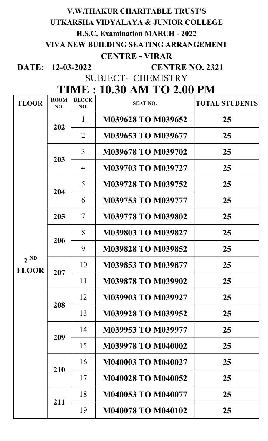## V.W.THAKUR CHARITABLE TRUST'S UTKARSHA VIDYALAYA & JUNIOR COLLEGE H.S.C. Examination MARCH - 2022 VIVA NEW BUILDING SEATING ARRANGEMENT CENTRE - VIRAR

DATE: 12-03-2022

CENTRE NO. 2321

SUBJECT- CHEMISTRY

## TIME : 10.30 AM TO 2.00 PM

| <b>FLOOR</b>             | <b>ROOM</b><br>NO. | <b>BLOCK</b><br>NO.      | <b>SEAT NO.</b>           | <b>TOTAL STUDENTS</b> |
|--------------------------|--------------------|--------------------------|---------------------------|-----------------------|
| $2^{ND}$<br><b>FLOOR</b> | 202                | $\mathbf{1}$             | M039628 TO M039652        | 25                    |
|                          |                    | 2                        | M039653 TO M039677        | 25                    |
|                          | 203                | 3                        | M039678 TO M039702        | 25                    |
|                          |                    | 4                        | <b>M039703 TO M039727</b> | 25                    |
|                          | 204                | 5                        | <b>M039728 TO M039752</b> | 25                    |
|                          |                    | 6                        | M039753 TO M039777        | 25                    |
|                          | 205                | $\overline{\mathcal{I}}$ | <b>M039778 TO M039802</b> | 25                    |
|                          | 206                | 8                        | <b>M039803 TO M039827</b> | 25                    |
|                          |                    | 9                        | <b>M039828 TO M039852</b> | 25                    |
|                          | 207                | 10                       | <b>M039853 TO M039877</b> | 25                    |
|                          |                    | 11                       | <b>M039878 TO M039902</b> | 25                    |
|                          | 208                | 12                       | <b>M039903 TO M039927</b> | 25                    |
|                          |                    | 13                       | <b>M039928 TO M039952</b> | 25                    |
|                          | 209                | 14                       | M039953 TO M039977        | 25                    |
|                          |                    | 15                       | <b>M039978 TO M040002</b> | 25                    |
|                          | 210                | 16                       | <b>M040003 TO M040027</b> | 25                    |
|                          |                    | 17                       | <b>M040028 TO M040052</b> | 25                    |
|                          | 211                | 18                       | <b>M040053 TO M040077</b> | 25                    |
|                          |                    | 19                       | <b>M040078 TO M040102</b> | 25                    |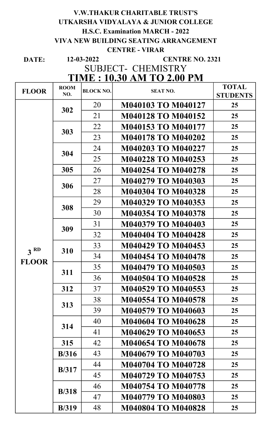#### V.W.THAKUR CHARITABLE TRUST'S UTKARSHA VIDYALAYA & JUNIOR COLLEGE H.S.C. Examination MARCH - 2022 VIVA NEW BUILDING SEATING ARRANGEMENT CENTRE - VIRAR 12-03-2022

DATE:

#### CENTRE NO. 2321

# SUBJECT- CHEMISTRY

## TIME : 10.30 AM TO 2.00 PM

| <b>FLOOR</b>    | <b>ROOM</b>   | <b>BLOCK NO.</b> | <b>SEAT NO.</b>           | <b>TOTAL</b>    |
|-----------------|---------------|------------------|---------------------------|-----------------|
|                 | NO.           |                  |                           | <b>STUDENTS</b> |
|                 | 302           | 20               | <b>M040103 TO M040127</b> | 25              |
|                 |               | 21               | <b>M040128 TO M040152</b> | 25              |
|                 |               | 22               | <b>M040153 TO M040177</b> | 25              |
|                 | 303           | 23               | <b>M040178 TO M040202</b> | 25              |
|                 | 304           | 24               | <b>M040203 TO M040227</b> | 25              |
|                 |               | 25               | <b>M040228 TO M040253</b> | 25              |
|                 | 305           | 26               | <b>M040254 TO M040278</b> | 25              |
|                 | 306           | 27               | M040279 TO M040303        | 25              |
|                 |               | 28               | <b>M040304 TO M040328</b> | 25              |
|                 | 308           | 29               | M040329 TO M040353        | 25              |
|                 |               | 30               | <b>M040354 TO M040378</b> | 25              |
|                 |               | 31               | <b>M040379 TO M040403</b> | 25              |
|                 | 309           | 32               | <b>M040404 TO M040428</b> | 25              |
| 3 <sup>RD</sup> |               | 33               | M040429 TO M040453        | 25              |
| <b>FLOOR</b>    | 310           | 34               | <b>M040454 TO M040478</b> | 25              |
|                 | 311           | 35               | <b>M040479 TO M040503</b> | 25              |
|                 |               | 36               | M040504 TO M040528        | 25              |
|                 | 312           | 37               | M040529 TO M040553        | 25              |
|                 | 313           | 38               | <b>M040554 TO M040578</b> | 25              |
|                 |               | 39               | <b>M040579 TO M040603</b> | 25              |
|                 | 314           | 40               | <b>M040604 TO M040628</b> | 25              |
|                 |               | 41               | M040629 TO M040653        | 25              |
|                 | 315           | 42               | <b>M040654 TO M040678</b> | 25              |
|                 | B/316         | 43               | <b>M040679 TO M040703</b> | 25              |
|                 | <b>B</b> /317 | 44               | <b>M040704 TO M040728</b> | 25              |
|                 |               | 45               | M040729 TO M040753        | 25              |
|                 | <b>B</b> /318 | 46               | <b>M040754 TO M040778</b> | 25              |
|                 |               | 47               | <b>M040779 TO M040803</b> | 25              |
|                 | <b>B</b> /319 | 48               | <b>M040804 TO M040828</b> | 25              |